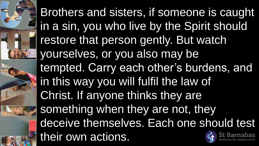Brothers and sisters, if someone is caught in a sin, you who live by the Spirit should restore that person gently. But watch yourselves, or you also may be tempted. Carry each other's burdens, and in this way you will fulfil the law of Christ. If anyone thinks they are something when they are not, they deceive themselves. Each one should test their own actions.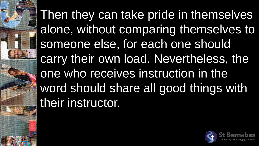Then they can take pride in themselves alone, without comparing themselves to someone else, for each one should carry their own load. Nevertheless, the one who receives instruction in the word should share all good things with their instructor.

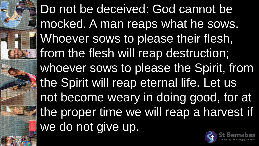Do not be deceived: God cannot be mocked. A man reaps what he sows. Whoever sows to please their flesh, from the flesh will reap destruction; whoever sows to please the Spirit, from the Spirit will reap eternal life. Let us not become weary in doing good, for at the proper time we will reap a harvest if we do not give up.

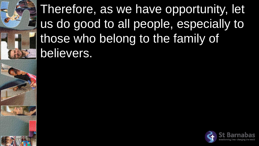Therefore, as we have opportunity, let us do good to all people, especially to those who belong to the family of believers.

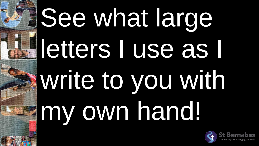# **See what large** letters I use as I write to you with my own hand!

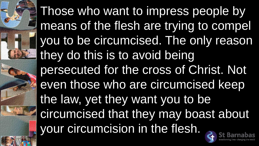Those who want to impress people by means of the flesh are trying to compel you to be circumcised. The only reason they do this is to avoid being persecuted for the cross of Christ. Not even those who are circumcised keep the law, yet they want you to be circumcised that they may boast about your circumcision in the flesh.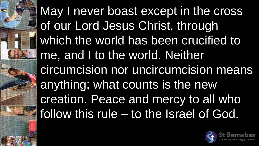May I never boast except in the cross of our Lord Jesus Christ, through which the world has been crucified to me, and I to the world. Neither circumcision nor uncircumcision means anything; what counts is the new creation. Peace and mercy to all who follow this rule – to the Israel of God.

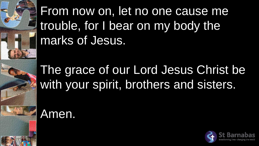From now on, let no one cause me trouble, for I bear on my body the marks of Jesus.

The grace of our Lord Jesus Christ be with your spirit, brothers and sisters.

Amen.

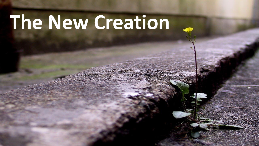## **The New Creation**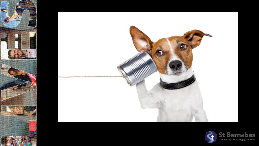



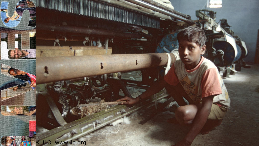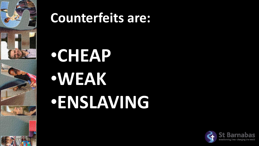

#### **Counterfeits are:**

## •**CHEAP** •**WEAK** •**ENSLAVING**

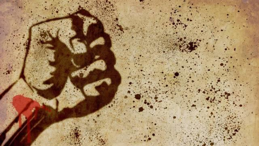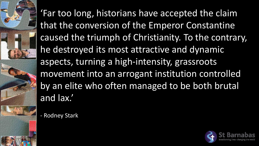'Far too long, historians have accepted the claim that the conversion of the Emperor Constantine caused the triumph of Christianity. To the contrary, he destroyed its most attractive and dynamic aspects, turning a high-intensity, grassroots movement into an arrogant institution controlled by an elite who often managed to be both brutal and lax.'

*-* Rodney Stark

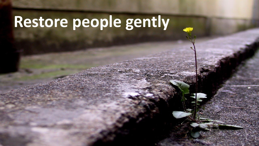#### **Restore people gently**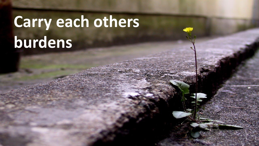#### **Carry each others burdens**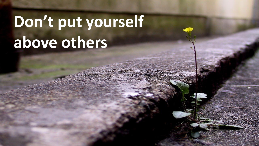#### **Don't put yourself above others**